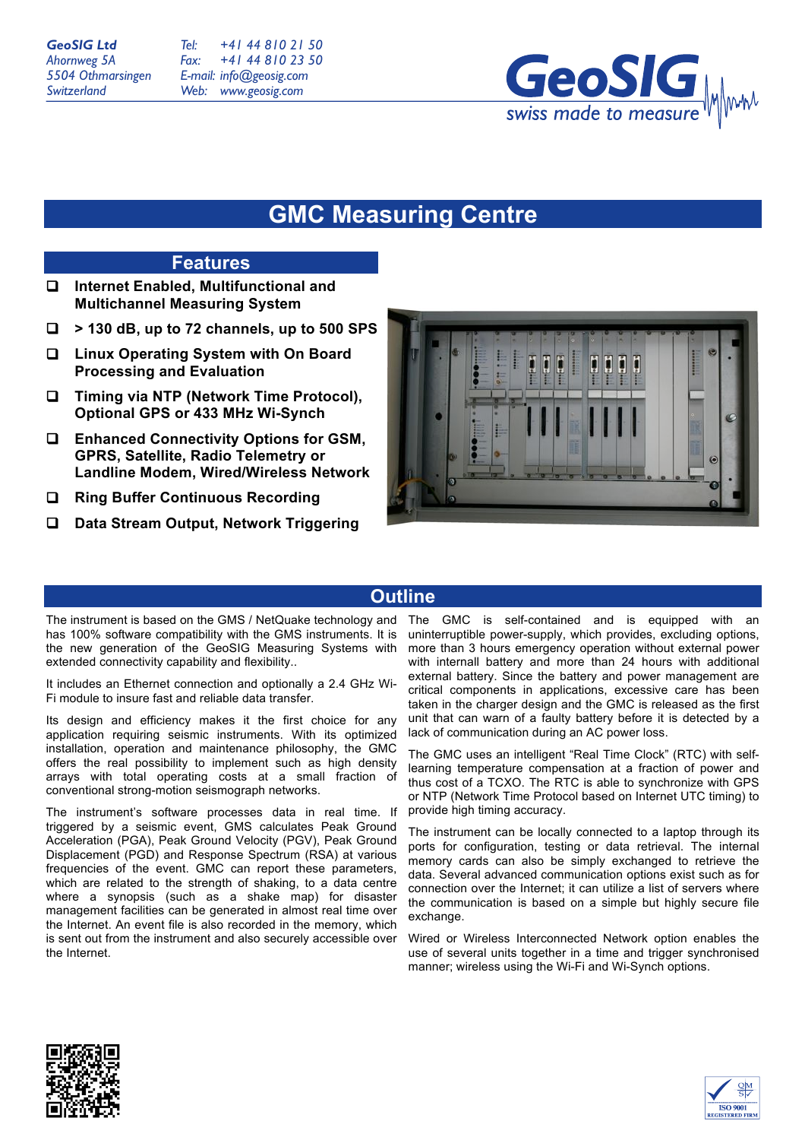*Tel: Fax: E-mail: info@geosig.com Web: +41 44 810 21 50 +41 44 810 23 50 www.geosig.com*



# **GMC Measuring Centre**

## **Features**

- **Internet Enabled, Multifunctional and Multichannel Measuring System**
- **> 130 dB, up to 72 channels, up to 500 SPS**
- **Linux Operating System with On Board Processing and Evaluation**
- **Timing via NTP (Network Time Protocol), Optional GPS or 433 MHz Wi-Synch**
- **Enhanced Connectivity Options for GSM, GPRS, Satellite, Radio Telemetry or Landline Modem, Wired/Wireless Network**
- **Ring Buffer Continuous Recording**
- **Data Stream Output, Network Triggering**



# **Outline**

The instrument is based on the GMS / NetQuake technology and has 100% software compatibility with the GMS instruments. It is the new generation of the GeoSIG Measuring Systems with extended connectivity capability and flexibility..

It includes an Ethernet connection and optionally a 2.4 GHz Wi-Fi module to insure fast and reliable data transfer.

Its design and efficiency makes it the first choice for any application requiring seismic instruments. With its optimized installation, operation and maintenance philosophy, the GMC offers the real possibility to implement such as high density arrays with total operating costs at a small fraction of conventional strong-motion seismograph networks.

The instrument's software processes data in real time. If triggered by a seismic event, GMS calculates Peak Ground Acceleration (PGA), Peak Ground Velocity (PGV), Peak Ground Displacement (PGD) and Response Spectrum (RSA) at various frequencies of the event. GMC can report these parameters, which are related to the strength of shaking, to a data centre where a synopsis (such as a shake map) for disaster management facilities can be generated in almost real time over the Internet. An event file is also recorded in the memory, which is sent out from the instrument and also securely accessible over the Internet.

The GMC is self-contained and is equipped with an uninterruptible power-supply, which provides, excluding options, more than 3 hours emergency operation without external power with internall battery and more than 24 hours with additional external battery. Since the battery and power management are critical components in applications, excessive care has been taken in the charger design and the GMC is released as the first unit that can warn of a faulty battery before it is detected by a lack of communication during an AC power loss.

The GMC uses an intelligent "Real Time Clock" (RTC) with selflearning temperature compensation at a fraction of power and thus cost of a TCXO. The RTC is able to synchronize with GPS or NTP (Network Time Protocol based on Internet UTC timing) to provide high timing accuracy.

The instrument can be locally connected to a laptop through its ports for configuration, testing or data retrieval. The internal memory cards can also be simply exchanged to retrieve the data. Several advanced communication options exist such as for connection over the Internet; it can utilize a list of servers where the communication is based on a simple but highly secure file exchange.

Wired or Wireless Interconnected Network option enables the use of several units together in a time and trigger synchronised manner; wireless using the Wi-Fi and Wi-Synch options.